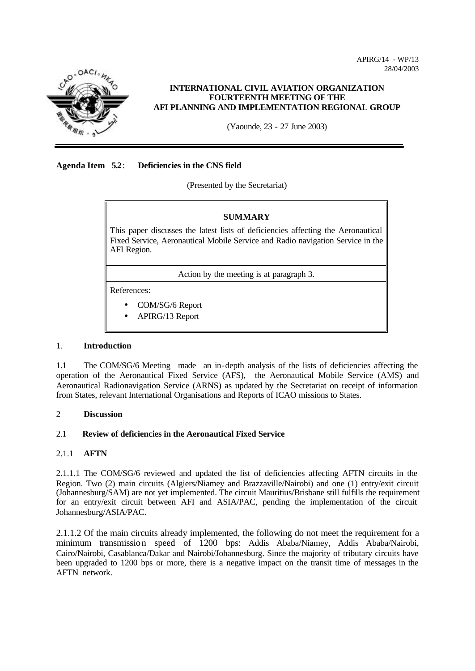APIRG/14 - WP/13 28/04/2003



## **INTERNATIONAL CIVIL AVIATION ORGANIZATION FOURTEENTH MEETING OF THE AFI PLANNING AND IMPLEMENTATION REGIONAL GROUP**

(Yaounde, 23 - 27 June 2003)

## **Agenda Item 5.2**: **Deficiencies in the CNS field**

(Presented by the Secretariat)

## **SUMMARY**

This paper discusses the latest lists of deficiencies affecting the Aeronautical Fixed Service, Aeronautical Mobile Service and Radio navigation Service in the AFI Region.

Action by the meeting is at paragraph 3.

References:

- COM/SG/6 Report
- APIRG/13 Report

## 1. **Introduction**

1.1 The COM/SG/6 Meeting made an in-depth analysis of the lists of deficiencies affecting the operation of the Aeronautical Fixed Service (AFS), the Aeronautical Mobile Service (AMS) and Aeronautical Radionavigation Service (ARNS) as updated by the Secretariat on receipt of information from States, relevant International Organisations and Reports of ICAO missions to States.

## 2 **Discussion**

## 2.1 **Review of deficiencies in the Aeronautical Fixed Service**

## 2.1.1 **AFTN**

2.1.1.1 The COM/SG/6 reviewed and updated the list of deficiencies affecting AFTN circuits in the Region. Two (2) main circuits (Algiers/Niamey and Brazzaville/Nairobi) and one (1) entry/exit circuit (Johannesburg/SAM) are not yet implemented. The circuit Mauritius/Brisbane still fulfills the requirement for an entry/exit circuit between AFI and ASIA/PAC, pending the implementation of the circuit Johannesburg/ASIA/PAC.

2.1.1.2 Of the main circuits already implemented, the following do not meet the requirement for a minimum transmission speed of 1200 bps: Addis Ababa/Niamey, Addis Ababa/Nairobi, Cairo/Nairobi, Casablanca/Dakar and Nairobi/Johannesburg. Since the majority of tributary circuits have been upgraded to 1200 bps or more, there is a negative impact on the transit time of messages in the AFTN network.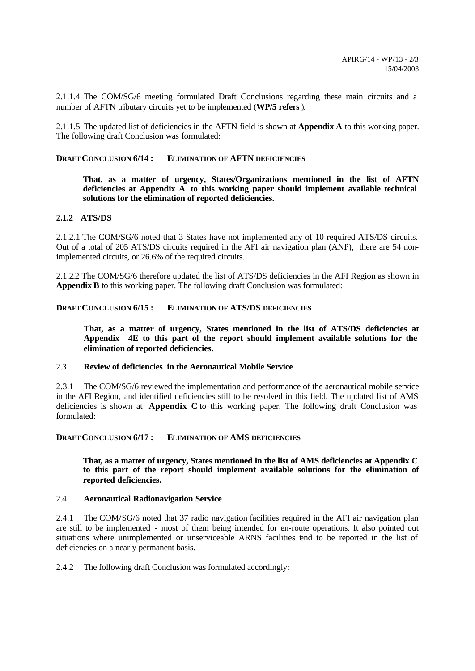2.1.1.4 The COM/SG/6 meeting formulated Draft Conclusions regarding these main circuits and a number of AFTN tributary circuits yet to be implemented (**WP/5 refers**).

2.1.1.5 The updated list of deficiencies in the AFTN field is shown at **Appendix A** to this working paper. The following draft Conclusion was formulated:

#### **DRAFT CONCLUSION 6/14 : ELIMINATION OF AFTN DEFICIENCIES**

**That, as a matter of urgency, States/Organizations mentioned in the list of AFTN deficiencies at Appendix A to this working paper should implement available technical solutions for the elimination of reported deficiencies.**

#### **2.1.2 ATS/DS**

2.1.2.1 The COM/SG/6 noted that 3 States have not implemented any of 10 required ATS/DS circuits. Out of a total of 205 ATS/DS circuits required in the AFI air navigation plan (ANP), there are 54 nonimplemented circuits, or 26.6% of the required circuits.

2.1.2.2 The COM/SG/6 therefore updated the list of ATS/DS deficiencies in the AFI Region as shown in **Appendix B** to this working paper. The following draft Conclusion was formulated:

#### **DRAFT CONCLUSION 6/15 : ELIMINATION OF ATS/DS DEFICIENCIES**

**That, as a matter of urgency, States mentioned in the list of ATS/DS deficiencies at Appendix 4E to this part of the report should implement available solutions for the elimination of reported deficiencies.**

#### 2.3 **Review of deficiencies in the Aeronautical Mobile Service**

2.3.1 The COM/SG/6 reviewed the implementation and performance of the aeronautical mobile service in the AFI Region, and identified deficiencies still to be resolved in this field. The updated list of AMS deficiencies is shown at **Appendix C** to this working paper. The following draft Conclusion was formulated:

**DRAFT CONCLUSION 6/17 : ELIMINATION OF AMS DEFICIENCIES**

### **That, as a matter of urgency, States mentioned in the list of AMS deficiencies at Appendix C to this part of the report should implement available solutions for the elimination of reported deficiencies.**

#### 2.4 **Aeronautical Radionavigation Service**

2.4.1 The COM/SG/6 noted that 37 radio navigation facilities required in the AFI air navigation plan are still to be implemented - most of them being intended for en-route operations. It also pointed out situations where unimplemented or unserviceable ARNS facilities tend to be reported in the list of deficiencies on a nearly permanent basis.

2.4.2 The following draft Conclusion was formulated accordingly: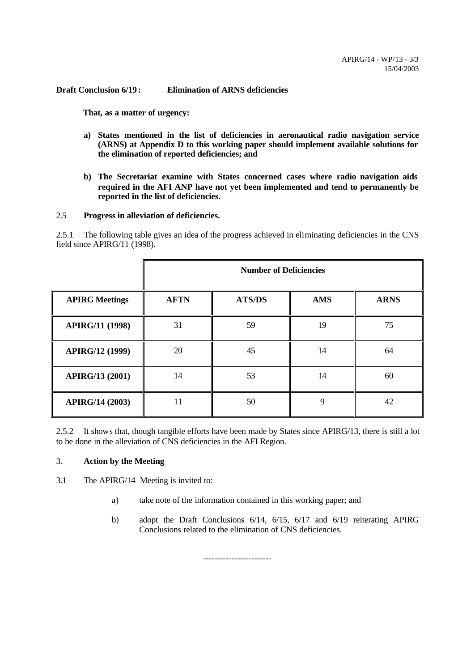**Draft Conclusion 6/19 : Elimination of ARNS deficiencies**

**That, as a matter of urgency:**

- **a) States mentioned in the list of deficiencies in aeronautical radio navigation service (ARNS) at Appendix D to this working paper should implement available solutions for the elimination of reported deficiencies; and**
- **b) The Secretariat examine with States concerned cases where radio navigation aids required in the AFI ANP have not yet been implemented and tend to permanently be reported in the list of deficiencies.**

## 2.5 **Progress in alleviation of deficiencies.**

2.5.1 The following table gives an idea of the progress achieved in eliminating deficiencies in the CNS field since APIRG/11 (1998).

|                        |             | <b>Number of Deficiencies</b> |            |             |  |  |  |  |  |  |
|------------------------|-------------|-------------------------------|------------|-------------|--|--|--|--|--|--|
| <b>APIRG Meetings</b>  | <b>AFTN</b> | <b>ATS/DS</b>                 | <b>AMS</b> | <b>ARNS</b> |  |  |  |  |  |  |
| <b>APIRG/11 (1998)</b> | 31          | 59                            | 19         | 75          |  |  |  |  |  |  |
| APIRG/12 (1999)        | 20          | 45                            | 14         | 64          |  |  |  |  |  |  |
| <b>APIRG/13 (2001)</b> | 14          | 53                            | 14         | 60          |  |  |  |  |  |  |
| <b>APIRG/14 (2003)</b> | 11          | 50                            | 9          | 42          |  |  |  |  |  |  |

2.5.2 It shows that, though tangible efforts have been made by States since APIRG/13, there is still a lot to be done in the alleviation of CNS deficiencies in the AFI Region.

## 3. **Action by the Meeting**

3.1 The APIRG/14 Meeting is invited to:

a) take note of the information contained in this working paper; and

------------------------

b) adopt the Draft Conclusions 6/14, 6/15, 6/17 and 6/19 reiterating APIRG Conclusions related to the elimination of CNS deficiencies.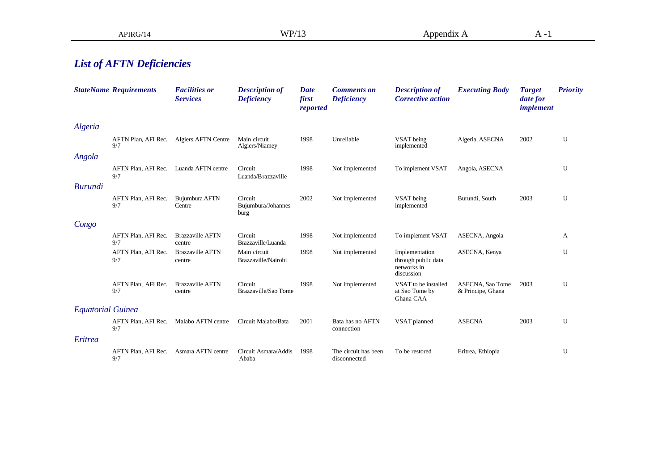## *List of AFTN Deficiencies*

|                          | <b>StateName Requirements</b> | <b>Facilities or</b><br><b>Services</b> | <b>Description of</b><br><b>Deficiency</b> | <b>Date</b><br>first<br>reported | <b>Comments on</b><br><b>Deficiency</b> | <b>Description of</b><br><b>Corrective action</b>                  | <b>Executing Body</b>                 | <b>Target</b><br>date for<br>implement | <b>Priority</b> |
|--------------------------|-------------------------------|-----------------------------------------|--------------------------------------------|----------------------------------|-----------------------------------------|--------------------------------------------------------------------|---------------------------------------|----------------------------------------|-----------------|
| Algeria                  |                               |                                         |                                            |                                  |                                         |                                                                    |                                       |                                        |                 |
|                          | AFTN Plan, AFI Rec.<br>9/7    | <b>Algiers AFTN Centre</b>              | Main circuit<br>Algiers/Niamey             | 1998                             | Unreliable                              | VSAT being<br>implemented                                          | Algeria, ASECNA                       | 2002                                   | U               |
| Angola                   |                               |                                         |                                            |                                  |                                         |                                                                    |                                       |                                        |                 |
|                          | AFTN Plan, AFI Rec.<br>9/7    | Luanda AFTN centre                      | Circuit<br>Luanda/Brazzaville              | 1998                             | Not implemented                         | To implement VSAT                                                  | Angola, ASECNA                        |                                        | U               |
| <b>Burundi</b>           |                               |                                         |                                            |                                  |                                         |                                                                    |                                       |                                        |                 |
|                          | AFTN Plan, AFI Rec.<br>9/7    | Bujumbura AFTN<br>Centre                | Circuit<br>Bujumbura/Johannes<br>burg      | 2002                             | Not implemented                         | VSAT being<br>implemented                                          | Burundi, South                        | 2003                                   | U               |
| Congo                    |                               |                                         |                                            |                                  |                                         |                                                                    |                                       |                                        |                 |
|                          | AFTN Plan, AFI Rec.<br>9/7    | <b>Brazzaville AFTN</b><br>centre       | Circuit<br>Brazzaville/Luanda              | 1998                             | Not implemented                         | To implement VSAT                                                  | ASECNA, Angola                        |                                        | A               |
|                          | AFTN Plan, AFI Rec.<br>9/7    | <b>Brazzaville AFTN</b><br>centre       | Main circuit<br>Brazzaville/Nairobi        | 1998                             | Not implemented                         | Implementation<br>through public data<br>networks in<br>discussion | ASECNA, Kenya                         |                                        | U               |
|                          | AFTN Plan, AFI Rec.<br>9/7    | <b>Brazzaville AFTN</b><br>centre       | Circuit<br>Brazzaville/Sao Tome            | 1998                             | Not implemented                         | VSAT to be installed<br>at Sao Tome by<br>Ghana CAA                | ASECNA, Sao Tome<br>& Principe, Ghana | 2003                                   | U               |
| <b>Equatorial Guinea</b> |                               |                                         |                                            |                                  |                                         |                                                                    |                                       |                                        |                 |
|                          | AFTN Plan, AFI Rec.<br>9/7    | Malabo AFTN centre                      | Circuit Malabo/Bata                        | 2001                             | Bata has no AFTN<br>connection          | VSAT planned                                                       | <b>ASECNA</b>                         | 2003                                   | U               |
| Eritrea                  |                               |                                         |                                            |                                  |                                         |                                                                    |                                       |                                        |                 |
|                          | AFTN Plan, AFI Rec.<br>9/7    | Asmara AFTN centre                      | Circuit Asmara/Addis<br>Ababa              | 1998                             | The circuit has been<br>disconnected    | To be restored                                                     | Eritrea, Ethiopia                     |                                        | U               |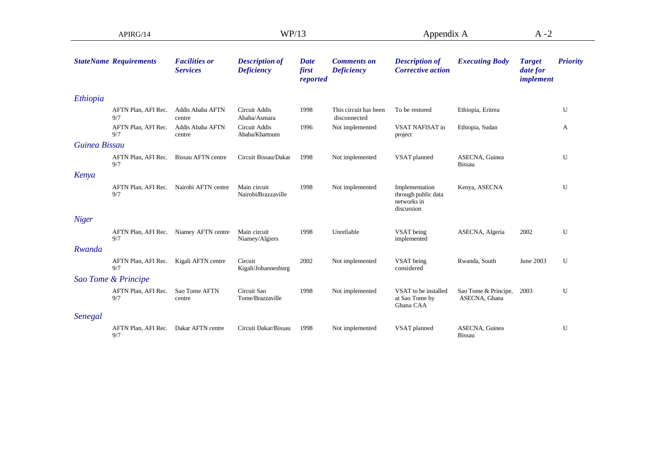| APIRG/14      |                                               |                                         | WP/13                                      |                           |                                         | Appendix A                                                         |                                       | $A - 2$                                |                 |
|---------------|-----------------------------------------------|-----------------------------------------|--------------------------------------------|---------------------------|-----------------------------------------|--------------------------------------------------------------------|---------------------------------------|----------------------------------------|-----------------|
|               | <b>StateName Requirements</b>                 | <b>Facilities or</b><br><b>Services</b> | <b>Description of</b><br><b>Deficiency</b> | Date<br>first<br>reported | <b>Comments on</b><br><b>Deficiency</b> | <b>Description of</b><br><b>Corrective action</b>                  | <b>Executing Body</b>                 | <b>Target</b><br>date for<br>implement | <b>Priority</b> |
| Ethiopia      |                                               |                                         |                                            |                           |                                         |                                                                    |                                       |                                        |                 |
|               | AFTN Plan, AFI Rec.<br>9/7                    | Addis Ababa AFTN<br>centre              | Circuit Addis<br>Ababa/Asmara              | 1998                      | This circuit has been<br>disconnected   | To be restored                                                     | Ethiopia, Eritrea                     |                                        | U               |
|               | AFTN Plan, AFI Rec.<br>9/7                    | Addis Ababa AFTN<br>centre              | Circuit Addis<br>Ababa/Khartoum            | 1996                      | Not implemented                         | VSAT NAFISAT in<br>project                                         | Ethiopia, Sudan                       |                                        | A               |
| Guinea Bissau |                                               |                                         |                                            |                           |                                         |                                                                    |                                       |                                        |                 |
|               | AFTN Plan, AFI Rec.<br>9/7                    | <b>Bissau AFTN</b> centre               | Circuit Bissau/Dakar                       | 1998                      | Not implemented                         | VSAT planned                                                       | ASECNA, Guinea<br><b>Bissau</b>       |                                        | U               |
| Kenya         |                                               |                                         |                                            |                           |                                         |                                                                    |                                       |                                        |                 |
|               | AFTN Plan, AFI Rec.<br>9/7                    | Nairobi AFTN centre                     | Main circuit<br>Nairobi/Brazzaville        | 1998                      | Not implemented                         | Implementation<br>through public data<br>networks in<br>discussion | Kenya, ASECNA                         |                                        | U               |
| <b>Niger</b>  |                                               |                                         |                                            |                           |                                         |                                                                    |                                       |                                        |                 |
|               | 9/7                                           | AFTN Plan, AFI Rec. Niamey AFTN centre  | Main circuit<br>Niamey/Algiers             | 1998                      | Unreliable                              | VSAT being<br>implemented                                          | ASECNA, Algeria                       | 2002                                   | U               |
| Rwanda        |                                               |                                         |                                            |                           |                                         |                                                                    |                                       |                                        |                 |
|               | AFTN Plan, AFI Rec. Kigali AFTN centre<br>9/7 |                                         | Circuit<br>Kigali/Johannesburg             | 2002                      | Not implemented                         | VSAT being<br>considered                                           | Rwanda, South                         | June 2003                              | U               |
|               | Sao Tome & Principe                           |                                         |                                            |                           |                                         |                                                                    |                                       |                                        |                 |
|               | AFTN Plan, AFI Rec.<br>9/7                    | Sao Tome AFTN<br>centre                 | Circuit Sao<br>Tome/Brazzaville            | 1998                      | Not implemented                         | VSAT to be installed<br>at Sao Tome by<br>Ghana CAA                | Sao Tome & Principe,<br>ASECNA, Ghana | 2003                                   | U               |
| Senegal       |                                               |                                         |                                            |                           |                                         |                                                                    |                                       |                                        |                 |
|               | AFTN Plan, AFI Rec.<br>9/7                    | Dakar AFTN centre                       | Circuit Dakar/Bissau                       | 1998                      | Not implemented                         | VSAT planned                                                       | ASECNA, Guinea<br>Bissau              |                                        | U               |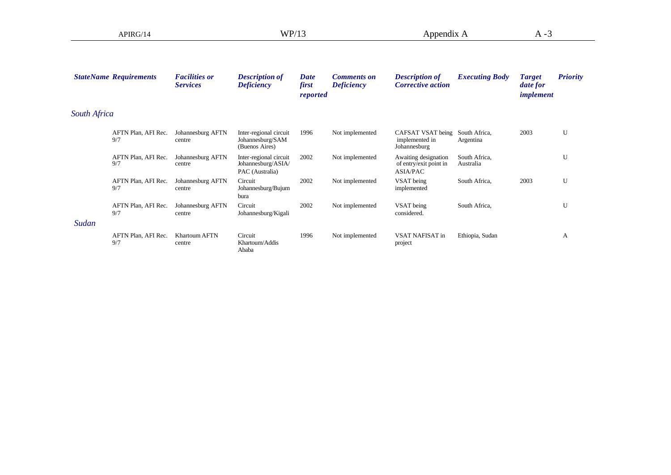|                     | <b>StateName Requirements</b> | <b>Facilities or</b><br><b>Services</b> | <b>Description of</b><br><b>Deficiency</b>                      | <b>Date</b><br>first<br><i>reported</i> | <b>Comments on</b><br><b>Deficiency</b> | <b>Description of</b><br><b>Corrective action</b>                 | <b>Executing Body</b>      | <b>Target</b><br>date for<br><i>implement</i> | <b>Priority</b> |
|---------------------|-------------------------------|-----------------------------------------|-----------------------------------------------------------------|-----------------------------------------|-----------------------------------------|-------------------------------------------------------------------|----------------------------|-----------------------------------------------|-----------------|
| <b>South Africa</b> |                               |                                         |                                                                 |                                         |                                         |                                                                   |                            |                                               |                 |
|                     | AFTN Plan, AFI Rec.<br>9/7    | Johannesburg AFTN<br>centre             | Inter-regional circuit<br>Johannesburg/SAM<br>(Buenos Aires)    | 1996                                    | Not implemented                         | CAFSAT VSAT being<br>implemented in<br>Johannesburg               | South Africa,<br>Argentina | 2003                                          | U               |
|                     | AFTN Plan, AFI Rec.<br>9/7    | Johannesburg AFTN<br>centre             | Inter-regional circuit<br>Johannesburg/ASIA/<br>PAC (Australia) | 2002                                    | Not implemented                         | Awaiting designation<br>of entry/exit point in<br><b>ASIA/PAC</b> | South Africa,<br>Australia |                                               | U               |
|                     | AFTN Plan, AFI Rec.<br>9/7    | Johannesburg AFTN<br>centre             | Circuit<br>Johannesburg/Bujum<br>bura                           | 2002                                    | Not implemented                         | VSAT being<br>implemented                                         | South Africa,              | 2003                                          | U               |
|                     | AFTN Plan, AFI Rec.<br>9/7    | Johannesburg AFTN<br>centre             | Circuit<br>Johannesburg/Kigali                                  | 2002                                    | Not implemented                         | VSAT being<br>considered.                                         | South Africa,              |                                               | U               |
| Sudan               |                               |                                         |                                                                 |                                         |                                         |                                                                   |                            |                                               |                 |
|                     | AFTN Plan, AFI Rec.<br>9/7    | Khartoum AFTN<br>centre                 | Circuit<br>Khartoum/Addis<br>Ababa                              | 1996                                    | Not implemented                         | VSAT NAFISAT in<br>project                                        | Ethiopia, Sudan            |                                               | A               |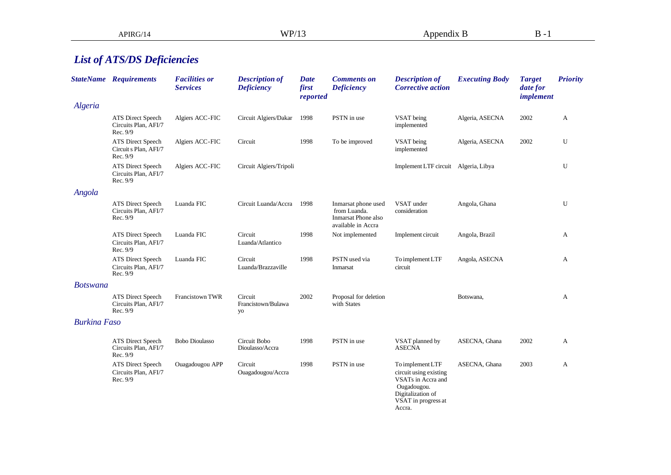# *List of ATS/DS Deficiencies*

|                     | <b>StateName Requirements</b>                          | <b>Facilities or</b><br><b>Services</b> | <b>Description of</b><br><b>Deficiency</b> | <b>Date</b><br>first<br>reported | <b>Comments on</b><br><b>Deficiency</b>                                          | <b>Description of</b><br><b>Corrective action</b>                                                                                     | <b>Executing Body</b> | <b>Target</b><br>date for<br>implement | <b>Priority</b> |
|---------------------|--------------------------------------------------------|-----------------------------------------|--------------------------------------------|----------------------------------|----------------------------------------------------------------------------------|---------------------------------------------------------------------------------------------------------------------------------------|-----------------------|----------------------------------------|-----------------|
| Algeria             |                                                        |                                         |                                            |                                  |                                                                                  |                                                                                                                                       |                       |                                        |                 |
|                     | ATS Direct Speech<br>Circuits Plan, AFI/7<br>Rec. 9/9  | Algiers ACC-FIC                         | Circuit Algiers/Dakar 1998                 |                                  | PSTN in use                                                                      | VSAT being<br>implemented                                                                                                             | Algeria, ASECNA       | 2002                                   | A               |
|                     | ATS Direct Speech<br>Circuit s Plan, AFI/7<br>Rec. 9/9 | Algiers ACC-FIC                         | Circuit                                    | 1998                             | To be improved                                                                   | VSAT being<br>implemented                                                                                                             | Algeria, ASECNA       | 2002                                   | U               |
|                     | ATS Direct Speech<br>Circuits Plan, AFI/7<br>Rec. 9/9  | Algiers ACC-FIC                         | Circuit Algiers/Tripoli                    |                                  |                                                                                  | Implement LTF circuit Algeria, Libya                                                                                                  |                       |                                        | U               |
| Angola              |                                                        |                                         |                                            |                                  |                                                                                  |                                                                                                                                       |                       |                                        |                 |
|                     | ATS Direct Speech<br>Circuits Plan, AFI/7<br>Rec. 9/9  | Luanda FIC                              | Circuit Luanda/Accra                       | 1998                             | Inmarsat phone used<br>from Luanda.<br>Inmarsat Phone also<br>available in Accra | VSAT under<br>consideration                                                                                                           | Angola, Ghana         |                                        | U               |
|                     | ATS Direct Speech<br>Circuits Plan, AFI/7<br>Rec. 9/9  | Luanda FIC                              | Circuit<br>Luanda/Atlantico                | 1998                             | Not implemented                                                                  | Implement circuit                                                                                                                     | Angola, Brazil        |                                        | A               |
|                     | ATS Direct Speech<br>Circuits Plan, AFI/7<br>Rec. 9/9  | Luanda FIC                              | Circuit<br>Luanda/Brazzaville              | 1998                             | PSTN used via<br>Inmarsat                                                        | To implement LTF<br>circuit                                                                                                           | Angola, ASECNA        |                                        | A               |
| <b>Botswana</b>     |                                                        |                                         |                                            |                                  |                                                                                  |                                                                                                                                       |                       |                                        |                 |
|                     | ATS Direct Speech<br>Circuits Plan, AFI/7<br>Rec. 9/9  | Francistown TWR                         | Circuit<br>Francistown/Bulawa<br>yo        | 2002                             | Proposal for deletion<br>with States                                             |                                                                                                                                       | Botswana,             |                                        | А               |
| <b>Burkina Faso</b> |                                                        |                                         |                                            |                                  |                                                                                  |                                                                                                                                       |                       |                                        |                 |
|                     | ATS Direct Speech<br>Circuits Plan, AFI/7<br>Rec. 9/9  | <b>Bobo Dioulasso</b>                   | Circuit Bobo<br>Dioulasso/Accra            | 1998                             | PSTN in use                                                                      | VSAT planned by<br><b>ASECNA</b>                                                                                                      | ASECNA, Ghana         | 2002                                   | A               |
|                     | ATS Direct Speech<br>Circuits Plan, AFI/7<br>Rec. 9/9  | Ouagadougou APP                         | Circuit<br>Ouagadougou/Accra               | 1998                             | PSTN in use                                                                      | To implement LTF<br>circuit using existing<br>VSATs in Accra and<br>Ougadougou.<br>Digitalization of<br>VSAT in progress at<br>Accra. | ASECNA, Ghana         | 2003                                   | A               |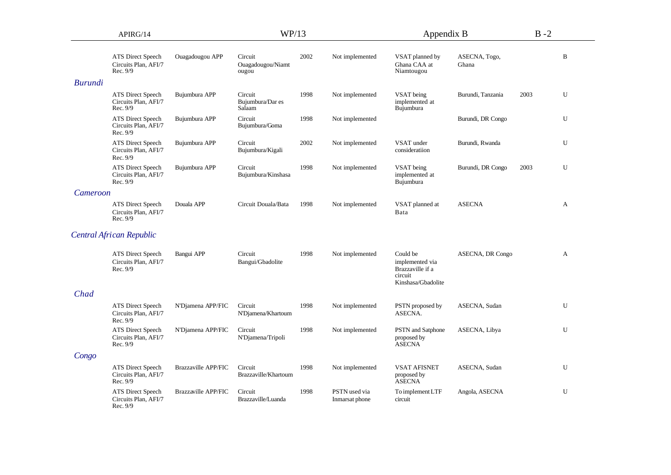| APIRG/14       |                                                              |                            | WP/13                                 |      |                                 | Appendix B                                                                       |                        | $B - 2$ |   |
|----------------|--------------------------------------------------------------|----------------------------|---------------------------------------|------|---------------------------------|----------------------------------------------------------------------------------|------------------------|---------|---|
|                | <b>ATS Direct Speech</b><br>Circuits Plan, AFI/7<br>Rec. 9/9 | Ouagadougou APP            | Circuit<br>Ouagadougou/Niamt<br>ougou | 2002 | Not implemented                 | VSAT planned by<br>Ghana CAA at<br>Niamtougou                                    | ASECNA, Togo,<br>Ghana |         | B |
| <b>Burundi</b> |                                                              |                            |                                       |      |                                 |                                                                                  |                        |         |   |
|                | <b>ATS Direct Speech</b><br>Circuits Plan, AFI/7<br>Rec. 9/9 | Bujumbura APP              | Circuit<br>Bujumbura/Dar es<br>Salaam | 1998 | Not implemented                 | VSAT being<br>implemented at<br>Bujumbura                                        | Burundi, Tanzania      | 2003    | U |
|                | ATS Direct Speech<br>Circuits Plan, AFI/7<br>Rec. 9/9        | Bujumbura APP              | Circuit<br>Bujumbura/Goma             | 1998 | Not implemented                 |                                                                                  | Burundi, DR Congo      |         | U |
|                | <b>ATS Direct Speech</b><br>Circuits Plan, AFI/7<br>Rec. 9/9 | Bujumbura APP              | Circuit<br>Bujumbura/Kigali           | 2002 | Not implemented                 | VSAT under<br>consideratiion                                                     | Burundi, Rwanda        |         | U |
|                | ATS Direct Speech<br>Circuits Plan, AFI/7<br>Rec. 9/9        | Bujumbura APP              | Circuit<br>Bujumbura/Kinshasa         | 1998 | Not implemented                 | VSAT being<br>implemented at<br>Bujumbura                                        | Burundi, DR Congo      | 2003    | U |
| Cameroon       |                                                              |                            |                                       |      |                                 |                                                                                  |                        |         |   |
|                | <b>ATS Direct Speech</b><br>Circuits Plan, AFI/7<br>Rec. 9/9 | Douala APP                 | Circuit Douala/Bata                   | 1998 | Not implemented                 | VSAT planned at<br>Bata                                                          | <b>ASECNA</b>          |         | A |
|                | Central African Republic                                     |                            |                                       |      |                                 |                                                                                  |                        |         |   |
|                | ATS Direct Speech<br>Circuits Plan, AFI/7<br>Rec. 9/9        | Bangui APP                 | Circuit<br>Bangui/Gbadolite           | 1998 | Not implemented                 | Could be<br>implemented via<br>Brazzaville if a<br>circuit<br>Kinshasa/Gbadolite | ASECNA, DR Congo       |         | A |
| Chad           |                                                              |                            |                                       |      |                                 |                                                                                  |                        |         |   |
|                | <b>ATS Direct Speech</b><br>Circuits Plan, AFI/7<br>Rec. 9/9 | N'Djamena APP/FIC          | Circuit<br>N'Djamena/Khartoum         | 1998 | Not implemented                 | PSTN proposed by<br>ASECNA.                                                      | ASECNA, Sudan          |         | U |
|                | ATS Direct Speech<br>Circuits Plan, AFI/7<br>Rec. 9/9        | N'Djamena APP/FIC          | Circuit<br>N'Djamena/Tripoli          | 1998 | Not implemented                 | PSTN and Satphone<br>proposed by<br><b>ASECNA</b>                                | ASECNA, Libya          |         | U |
| Congo          |                                                              |                            |                                       |      |                                 |                                                                                  |                        |         |   |
|                | <b>ATS Direct Speech</b><br>Circuits Plan, AFI/7<br>Rec. 9/9 | <b>Brazzaville APP/FIC</b> | Circuit<br>Brazzaville/Khartoum       | 1998 | Not implemented                 | <b>VSAT AFISNET</b><br>proposed by<br><b>ASECNA</b>                              | ASECNA, Sudan          |         | U |
|                | ATS Direct Speech<br>Circuits Plan, AFI/7<br>Rec. 9/9        | Brazzaville APP/FIC        | Circuit<br>Brazzaville/Luanda         | 1998 | PSTN used via<br>Inmarsat phone | To implement LTF<br>circuit                                                      | Angola, ASECNA         |         | U |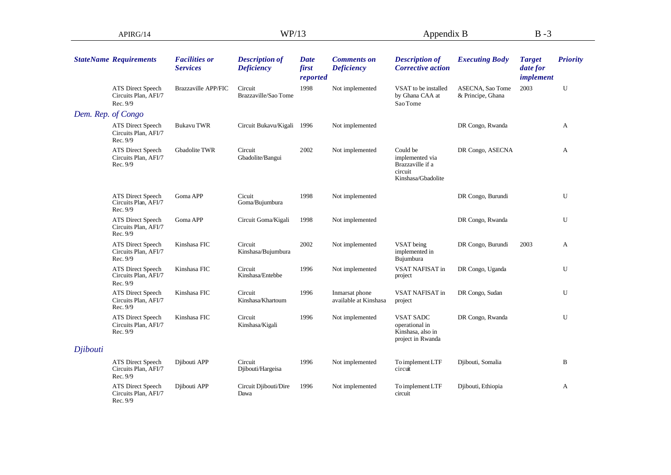| APIRG/14           |                                                              |                                         | WP/13                                      |                           |                                         | Appendix B                                                                       |                                       | $B - 3$                                |                 |
|--------------------|--------------------------------------------------------------|-----------------------------------------|--------------------------------------------|---------------------------|-----------------------------------------|----------------------------------------------------------------------------------|---------------------------------------|----------------------------------------|-----------------|
|                    | <b>StateName Requirements</b>                                | <b>Facilities or</b><br><b>Services</b> | <b>Description of</b><br><b>Deficiency</b> | Date<br>first<br>reported | <b>Comments on</b><br><b>Deficiency</b> | <b>Description of</b><br><b>Corrective action</b>                                | <b>Executing Body</b>                 | <b>Target</b><br>date for<br>implement | <b>Priority</b> |
|                    | ATS Direct Speech<br>Circuits Plan, AFI/7<br>Rec. 9/9        | <b>Brazzaville APP/FIC</b>              | Circuit<br>Brazzaville/Sao Tome            | 1998                      | Not implemented                         | VSAT to be installed<br>by Ghana CAA at<br>Sao Tome                              | ASECNA, Sao Tome<br>& Principe, Ghana | 2003                                   | U               |
| Dem. Rep. of Congo |                                                              |                                         |                                            |                           |                                         |                                                                                  |                                       |                                        |                 |
|                    | <b>ATS Direct Speech</b><br>Circuits Plan, AFI/7<br>Rec. 9/9 | <b>Bukavu TWR</b>                       | Circuit Bukavu/Kigali 1996                 |                           | Not implemented                         |                                                                                  | DR Congo, Rwanda                      |                                        | А               |
|                    | <b>ATS Direct Speech</b><br>Circuits Plan, AFI/7<br>Rec. 9/9 | Gbadolite TWR                           | Circuit<br>Gbadolite/Bangui                | 2002                      | Not implemented                         | Could be<br>implemented via<br>Brazzaville if a<br>circuit<br>Kinshasa/Gbadolite | DR Congo, ASECNA                      |                                        | A               |
|                    | ATS Direct Speech<br>Circuits Plan, AFI/7<br>Rec. 9/9        | Goma APP                                | Cicuit<br>Goma/Bujumbura                   | 1998                      | Not implemented                         |                                                                                  | DR Congo, Burundi                     |                                        | U               |
|                    | ATS Direct Speech<br>Circuits Plan, AFI/7<br>Rec. 9/9        | Goma APP                                | Circuit Goma/Kigali                        | 1998                      | Not implemented                         |                                                                                  | DR Congo, Rwanda                      |                                        | U               |
|                    | ATS Direct Speech<br>Circuits Plan, AFI/7<br>Rec. 9/9        | Kinshasa FIC                            | Circuit<br>Kinshasa/Bujumbura              | 2002                      | Not implemented                         | VSAT being<br>implemented in<br>Bujumbura                                        | DR Congo, Burundi                     | 2003                                   | A               |
|                    | ATS Direct Speech<br>Circuits Plan, AFI/7<br>Rec. 9/9        | Kinshasa FIC                            | Circuit<br>Kinshasa/Entebbe                | 1996                      | Not implemented                         | <b>VSAT NAFISAT in</b><br>project                                                | DR Congo, Uganda                      |                                        | U               |
|                    | <b>ATS Direct Speech</b><br>Circuits Plan, AFI/7<br>Rec. 9/9 | Kinshasa FIC                            | Circuit<br>Kinshasa/Khartoum               | 1996                      | Inmarsat phone<br>available at Kinshasa | VSAT NAFISAT in<br>project                                                       | DR Congo, Sudan                       |                                        | U               |
|                    | ATS Direct Speech<br>Circuits Plan, AFI/7<br>Rec. 9/9        | Kinshasa FIC                            | Circuit<br>Kinshasa/Kigali                 | 1996                      | Not implemented                         | <b>VSAT SADC</b><br>operational in<br>Kinshasa, also in<br>project in Rwanda     | DR Congo, Rwanda                      |                                        | U               |
| Djibouti           |                                                              |                                         |                                            |                           |                                         |                                                                                  |                                       |                                        |                 |
|                    | ATS Direct Speech<br>Circuits Plan, AFI/7<br>Rec. 9/9        | Djibouti APP                            | Circuit<br>Djibouti/Hargeisa               | 1996                      | Not implemented                         | To implement LTF<br>circuit                                                      | Djibouti, Somalia                     |                                        | B               |
|                    | <b>ATS Direct Speech</b><br>Circuits Plan, AFI/7<br>Rec. 9/9 | Djibouti APP                            | Circuit Djibouti/Dire<br>Dawa              | 1996                      | Not implemented                         | To implement LTF<br>circuit                                                      | Djibouti, Ethiopia                    |                                        | А               |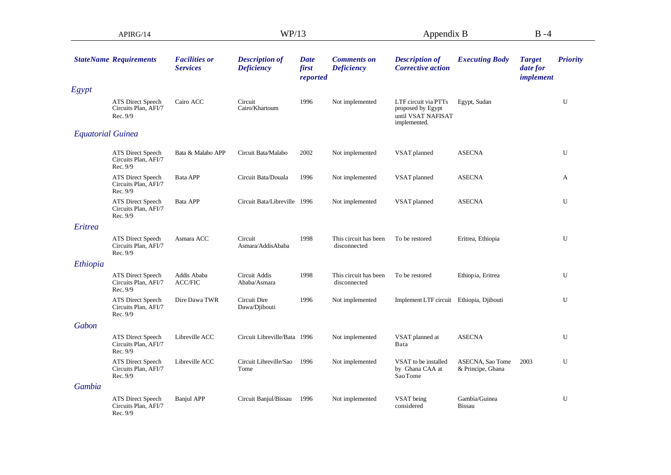| APIRG/14                 |                                                       |                                         | WP/13                                      |                                  |                                         | Appendix B                                                                      |                                       | $B - 4$                                |                 |
|--------------------------|-------------------------------------------------------|-----------------------------------------|--------------------------------------------|----------------------------------|-----------------------------------------|---------------------------------------------------------------------------------|---------------------------------------|----------------------------------------|-----------------|
|                          | <b>StateName Requirements</b>                         | <b>Facilities or</b><br><b>Services</b> | <b>Description of</b><br><b>Deficiency</b> | <b>Date</b><br>first<br>reported | <b>Comments on</b><br><b>Deficiency</b> | <b>Description of</b><br><b>Corrective action</b>                               | <b>Executing Body</b>                 | <b>Target</b><br>date for<br>implement | <b>Priority</b> |
| Egypt                    |                                                       |                                         |                                            |                                  |                                         |                                                                                 |                                       |                                        |                 |
|                          | ATS Direct Speech<br>Circuits Plan, AFI/7<br>Rec. 9/9 | Cairo ACC                               | Circuit<br>Cairo/Khartoum                  | 1996                             | Not implemented                         | LTF circuit via PTTs<br>proposed by Egypt<br>until VSAT NAFISAT<br>implemented. | Egypt, Sudan                          |                                        | U               |
| <b>Equatorial Guinea</b> |                                                       |                                         |                                            |                                  |                                         |                                                                                 |                                       |                                        |                 |
|                          | ATS Direct Speech<br>Circuits Plan, AFI/7<br>Rec. 9/9 | Bata & Malabo APP                       | Circuit Bata/Malabo                        | 2002                             | Not implemented                         | VSAT planned                                                                    | <b>ASECNA</b>                         |                                        | U               |
|                          | ATS Direct Speech<br>Circuits Plan, AFI/7<br>Rec. 9/9 | Bata APP                                | Circuit Bata/Douala                        | 1996                             | Not implemented                         | VSAT planned                                                                    | <b>ASECNA</b>                         |                                        | A               |
|                          | ATS Direct Speech<br>Circuits Plan, AFI/7<br>Rec. 9/9 | Bata APP                                | Circuit Bata/Libreville 1996               |                                  | Not implemented                         | VSAT planned                                                                    | <b>ASECNA</b>                         |                                        | U               |
| Eritrea                  |                                                       |                                         |                                            |                                  |                                         |                                                                                 |                                       |                                        |                 |
|                          | ATS Direct Speech<br>Circuits Plan, AFI/7<br>Rec. 9/9 | Asmara ACC                              | Circuit<br>Asmara/AddisAbaba               | 1998                             | This circuit has been<br>disconnected   | To be restored                                                                  | Eritrea, Ethiopia                     |                                        | U               |
| Ethiopia                 |                                                       |                                         |                                            |                                  |                                         |                                                                                 |                                       |                                        |                 |
|                          | ATS Direct Speech<br>Circuits Plan, AFI/7<br>Rec. 9/9 | Addis Ababa<br><b>ACC/FIC</b>           | Circuit Addis<br>Ababa/Asmara              | 1998                             | This circuit has been<br>disconnected   | To be restored                                                                  | Ethiopia, Eritrea                     |                                        | U               |
|                          | ATS Direct Speech<br>Circuits Plan, AFI/7<br>Rec. 9/9 | Dire Dawa TWR                           | Circuit Dire<br>Dawa/Djibouti              | 1996                             | Not implemented                         | Implement LTF circuit Ethiopia, Djibouti                                        |                                       |                                        | U               |
| Gabon                    |                                                       |                                         |                                            |                                  |                                         |                                                                                 |                                       |                                        |                 |
|                          | ATS Direct Speech<br>Circuits Plan, AFI/7<br>Rec. 9/9 | Libreville ACC                          | Circuit Libreville/Bata 1996               |                                  | Not implemented                         | VSAT planned at<br>Bata                                                         | <b>ASECNA</b>                         |                                        | U               |
|                          | ATS Direct Speech<br>Circuits Plan, AFI/7<br>Rec. 9/9 | Libreville ACC                          | Circuit Libreville/Sao<br>Tome             | 1996                             | Not implemented                         | VSAT to be installed<br>by Ghana CAA at<br>Sao Tome                             | ASECNA, Sao Tome<br>& Principe, Ghana | 2003                                   | U               |
| Gambia                   |                                                       |                                         |                                            |                                  |                                         |                                                                                 |                                       |                                        |                 |
|                          | ATS Direct Speech<br>Circuits Plan, AFI/7<br>Rec. 9/9 | <b>Banjul APP</b>                       | Circuit Banjul/Bissau                      | 1996                             | Not implemented                         | VSAT being<br>considered                                                        | Gambia/Guinea<br><b>Bissau</b>        |                                        | U               |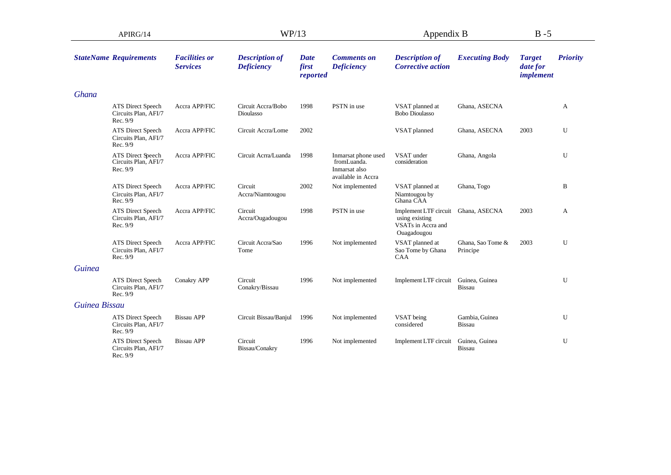| APIRG/14      |                                                              |                                         | WP/13                                      |                                  |                                                                           | Appendix B                                                                   |                                 | $B - 5$                                       |                 |
|---------------|--------------------------------------------------------------|-----------------------------------------|--------------------------------------------|----------------------------------|---------------------------------------------------------------------------|------------------------------------------------------------------------------|---------------------------------|-----------------------------------------------|-----------------|
|               | <b>StateName Requirements</b>                                | <b>Facilities or</b><br><b>Services</b> | <b>Description of</b><br><b>Deficiency</b> | <b>Date</b><br>first<br>reported | <b>Comments on</b><br><b>Deficiency</b>                                   | <b>Description of</b><br><b>Corrective action</b>                            | <b>Executing Body</b>           | <b>Target</b><br>date for<br><i>implement</i> | <b>Priority</b> |
| Ghana         |                                                              |                                         |                                            |                                  |                                                                           |                                                                              |                                 |                                               |                 |
|               | <b>ATS Direct Speech</b><br>Circuits Plan, AFI/7<br>Rec. 9/9 | Accra APP/FIC                           | Circuit Accra/Bobo<br>Dioulasso            | 1998                             | PSTN in use                                                               | VSAT planned at<br><b>Bobo Dioulasso</b>                                     | Ghana, ASECNA                   |                                               | A               |
|               | <b>ATS</b> Direct Speech<br>Circuits Plan, AFI/7<br>Rec. 9/9 | Accra APP/FIC                           | Circuit Accra/Lome                         | 2002                             |                                                                           | VSAT planned                                                                 | Ghana, ASECNA                   | 2003                                          | U               |
|               | ATS Direct Speech<br>Circuits Plan, AFI/7<br>Rec. 9/9        | Accra APP/FIC                           | Circuit Acrra/Luanda                       | 1998                             | Inmarsat phone used<br>fromLuanda.<br>Inmarsat also<br>available in Accra | VSAT under<br>consideration                                                  | Ghana, Angola                   |                                               | U               |
|               | ATS Direct Speech<br>Circuits Plan, AFI/7<br>Rec. 9/9        | Accra APP/FIC                           | Circuit<br>Accra/Niamtougou                | 2002                             | Not implemented                                                           | VSAT planned at<br>Niamtougou by<br>Ghana CAA                                | Ghana, Togo                     |                                               | B               |
|               | <b>ATS Direct Speech</b><br>Circuits Plan, AFI/7<br>Rec. 9/9 | Accra APP/FIC                           | Circuit<br>Accra/Ougadougou                | 1998                             | PSTN in use                                                               | Implement LTF circuit<br>using existing<br>VSATs in Accra and<br>Ouagadougou | Ghana, ASECNA                   | 2003                                          | A               |
|               | ATS Direct Speech<br>Circuits Plan, AFI/7<br>Rec. 9/9        | Accra APP/FIC                           | Circuit Accra/Sao<br>Tome                  | 1996                             | Not implemented                                                           | VSAT planned at<br>Sao Tome by Ghana<br><b>CAA</b>                           | Ghana, Sao Tome &<br>Principe   | 2003                                          | U               |
| <b>Guinea</b> |                                                              |                                         |                                            |                                  |                                                                           |                                                                              |                                 |                                               |                 |
|               | <b>ATS Direct Speech</b><br>Circuits Plan, AFI/7<br>Rec. 9/9 | Conakry APP                             | Circuit<br>Conakry/Bissau                  | 1996                             | Not implemented                                                           | Implement LTF circuit                                                        | Guinea, Guinea<br><b>Bissau</b> |                                               | U               |
| Guinea Bissau |                                                              |                                         |                                            |                                  |                                                                           |                                                                              |                                 |                                               |                 |
|               | <b>ATS Direct Speech</b><br>Circuits Plan, AFI/7<br>Rec. 9/9 | <b>Bissau APP</b>                       | Circuit Bissau/Banjul                      | 1996                             | Not implemented                                                           | VSAT being<br>considered                                                     | Gambia, Guinea<br><b>Bissau</b> |                                               | U               |
|               | ATS Direct Speech<br>Circuits Plan, AFI/7<br>Rec. 9/9        | <b>Bissau APP</b>                       | Circuit<br>Bissau/Conakry                  | 1996                             | Not implemented                                                           | Implement LTF circuit                                                        | Guinea, Guinea<br>Bissau        |                                               | U               |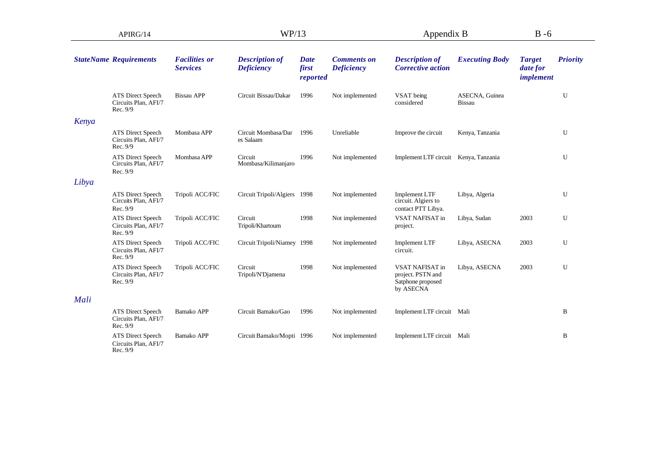| APIRG/14 |                                                              |                                         | WP/13                                      |                                  |                                         | Appendix B                                                             |                                 | $B - 6$                                |                 |
|----------|--------------------------------------------------------------|-----------------------------------------|--------------------------------------------|----------------------------------|-----------------------------------------|------------------------------------------------------------------------|---------------------------------|----------------------------------------|-----------------|
|          | <b>StateName Requirements</b>                                | <b>Facilities or</b><br><b>Services</b> | <b>Description of</b><br><b>Deficiency</b> | <b>Date</b><br>first<br>reported | <b>Comments on</b><br><b>Deficiency</b> | <b>Description of</b><br><b>Corrective action</b>                      | <b>Executing Body</b>           | <b>Target</b><br>date for<br>implement | <b>Priority</b> |
|          | ATS Direct Speech<br>Circuits Plan, AFI/7<br>Rec. 9/9        | <b>Bissau APP</b>                       | Circuit Bissau/Dakar                       | 1996                             | Not implemented                         | VSAT being<br>considered                                               | ASECNA, Guinea<br><b>Bissau</b> |                                        | U               |
| Kenya    |                                                              |                                         |                                            |                                  |                                         |                                                                        |                                 |                                        |                 |
|          | <b>ATS Direct Speech</b><br>Circuits Plan, AFI/7<br>Rec. 9/9 | Mombasa APP                             | Circuit Mombasa/Dar<br>es Salaam           | 1996                             | Unreliable                              | Improve the circuit                                                    | Kenya, Tanzania                 |                                        | U               |
|          | ATS Direct Speech<br>Circuits Plan, AFI/7<br>Rec. 9/9        | Mombasa APP                             | Circuit<br>Mombasa/Kilimanjaro             | 1996                             | Not implemented                         | Implement LTF circuit Kenya, Tanzania                                  |                                 |                                        | U               |
| Libya    |                                                              |                                         |                                            |                                  |                                         |                                                                        |                                 |                                        |                 |
|          | ATS Direct Speech<br>Circuits Plan, AFI/7<br>Rec. 9/9        | Tripoli ACC/FIC                         | Circuit Tripoli/Algiers 1998               |                                  | Not implemented                         | Implement LTF<br>circuit. Algiers to<br>contact PTT Libya.             | Libya, Algeria                  |                                        | U               |
|          | ATS Direct Speech<br>Circuits Plan, AFI/7<br>Rec. 9/9        | Tripoli ACC/FIC                         | Circuit<br>Tripoli/Khartoum                | 1998                             | Not implemented                         | VSAT NAFISAT in<br>project.                                            | Libya, Sudan                    | 2003                                   | U               |
|          | ATS Direct Speech<br>Circuits Plan, AFI/7<br>Rec. 9/9        | Tripoli ACC/FIC                         | Circuit Tripoli/Niamey 1998                |                                  | Not implemented                         | <b>Implement LTF</b><br>circuit.                                       | Libya, ASECNA                   | 2003                                   | U               |
|          | ATS Direct Speech<br>Circuits Plan, AFI/7<br>Rec. 9/9        | Tripoli ACC/FIC                         | Circuit<br>Tripoli/N'Djamena               | 1998                             | Not implemented                         | VSAT NAFISAT in<br>project. PSTN and<br>Satphone proposed<br>by ASECNA | Libya, ASECNA                   | 2003                                   | U               |
| Mali     |                                                              |                                         |                                            |                                  |                                         |                                                                        |                                 |                                        |                 |
|          | ATS Direct Speech<br>Circuits Plan, AFI/7<br>Rec. 9/9        | <b>Bamako APP</b>                       | Circuit Bamako/Gao                         | 1996                             | Not implemented                         | Implement LTF circuit Mali                                             |                                 |                                        | B               |
|          | ATS Direct Speech<br>Circuits Plan, AFI/7<br>Rec. 9/9        | Bamako APP                              | Circuit Bamako/Mopti 1996                  |                                  | Not implemented                         | Implement LTF circuit Mali                                             |                                 |                                        | B               |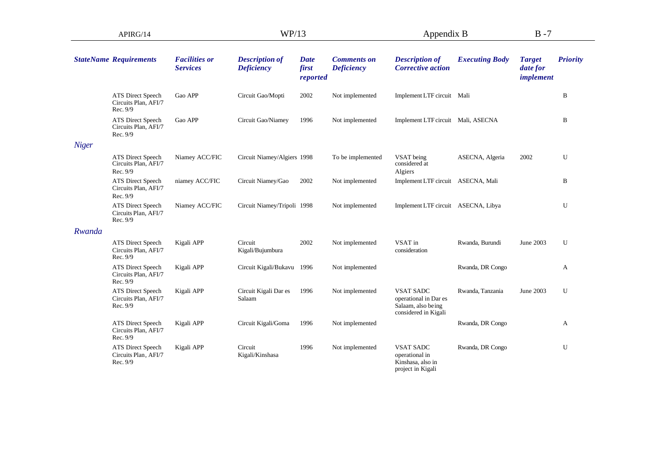| APIRG/14     |                                                       |                                         | WP/13                                      |                           |                                         | Appendix B                                                                              |                       | $B - 7$                                       |                 |
|--------------|-------------------------------------------------------|-----------------------------------------|--------------------------------------------|---------------------------|-----------------------------------------|-----------------------------------------------------------------------------------------|-----------------------|-----------------------------------------------|-----------------|
|              | <b>StateName Requirements</b>                         | <b>Facilities or</b><br><b>Services</b> | <b>Description of</b><br><b>Deficiency</b> | Date<br>first<br>reported | <b>Comments on</b><br><b>Deficiency</b> | <b>Description of</b><br><b>Corrective action</b>                                       | <b>Executing Body</b> | <b>Target</b><br>date for<br><i>implement</i> | <b>Priority</b> |
|              | ATS Direct Speech<br>Circuits Plan, AFI/7<br>Rec. 9/9 | Gao APP                                 | Circuit Gao/Mopti                          | 2002                      | Not implemented                         | Implement LTF circuit Mali                                                              |                       |                                               | B               |
|              | ATS Direct Speech<br>Circuits Plan, AFI/7<br>Rec. 9/9 | Gao APP                                 | Circuit Gao/Niamey                         | 1996                      | Not implemented                         | Implement LTF circuit Mali, ASECNA                                                      |                       |                                               | B               |
| <b>Niger</b> |                                                       |                                         |                                            |                           |                                         |                                                                                         |                       |                                               |                 |
|              | ATS Direct Speech<br>Circuits Plan, AFI/7<br>Rec. 9/9 | Niamey ACC/FIC                          | Circuit Niamey/Algiers 1998                |                           | To be implemented                       | VSAT being<br>considered at<br>Algiers                                                  | ASECNA, Algeria       | 2002                                          | U               |
|              | ATS Direct Speech<br>Circuits Plan, AFI/7<br>Rec. 9/9 | niamey ACC/FIC                          | Circuit Niamey/Gao                         | 2002                      | Not implemented                         | Implement LTF circuit ASECNA, Mali                                                      |                       |                                               | B               |
|              | ATS Direct Speech<br>Circuits Plan, AFI/7<br>Rec. 9/9 | Niamey ACC/FIC                          | Circuit Niamey/Tripoli 1998                |                           | Not implemented                         | Implement LTF circuit ASECNA, Libya                                                     |                       |                                               | U               |
| Rwanda       |                                                       |                                         |                                            |                           |                                         |                                                                                         |                       |                                               |                 |
|              | ATS Direct Speech<br>Circuits Plan, AFI/7<br>Rec. 9/9 | Kigali APP                              | Circuit<br>Kigali/Bujumbura                | 2002                      | Not implemented                         | VSAT in<br>consideration                                                                | Rwanda, Burundi       | June 2003                                     | U               |
|              | ATS Direct Speech<br>Circuits Plan, AFI/7<br>Rec. 9/9 | Kigali APP                              | Circuit Kigali/Bukavu 1996                 |                           | Not implemented                         |                                                                                         | Rwanda, DR Congo      |                                               | A               |
|              | ATS Direct Speech<br>Circuits Plan, AFI/7<br>Rec. 9/9 | Kigali APP                              | Circuit Kigali Dar es<br>Salaam            | 1996                      | Not implemented                         | <b>VSAT SADC</b><br>operational in Dar es<br>Salaam, also being<br>considered in Kigali | Rwanda, Tanzania      | June 2003                                     | U               |
|              | ATS Direct Speech<br>Circuits Plan, AFI/7<br>Rec. 9/9 | Kigali APP                              | Circuit Kigali/Goma                        | 1996                      | Not implemented                         |                                                                                         | Rwanda, DR Congo      |                                               | A               |
|              | ATS Direct Speech<br>Circuits Plan, AFI/7<br>Rec. 9/9 | Kigali APP                              | Circuit<br>Kigali/Kinshasa                 | 1996                      | Not implemented                         | <b>VSAT SADC</b><br>operational in<br>Kinshasa, also in<br>project in Kigali            | Rwanda, DR Congo      |                                               | U               |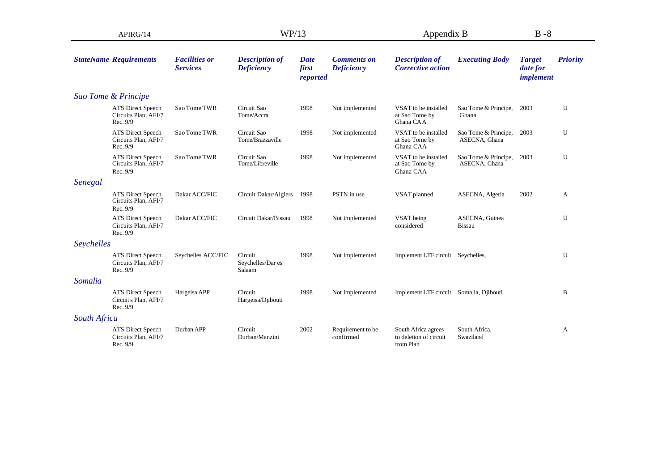| APIRG/14     |                                                        |                                         | WP/13                                      |                                  |                                         | Appendix B                                                 |                                       | $B - 8$                                |                 |
|--------------|--------------------------------------------------------|-----------------------------------------|--------------------------------------------|----------------------------------|-----------------------------------------|------------------------------------------------------------|---------------------------------------|----------------------------------------|-----------------|
|              | <b>StateName Requirements</b>                          | <b>Facilities or</b><br><b>Services</b> | <b>Description of</b><br><b>Deficiency</b> | <b>Date</b><br>first<br>reported | <b>Comments on</b><br><b>Deficiency</b> | <b>Description of</b><br><b>Corrective action</b>          | <b>Executing Body</b>                 | <b>Target</b><br>date for<br>implement | <b>Priority</b> |
|              | Sao Tome & Principe                                    |                                         |                                            |                                  |                                         |                                                            |                                       |                                        |                 |
|              | ATS Direct Speech<br>Circuits Plan, AFI/7<br>Rec. 9/9  | Sao Tome TWR                            | Circuit Sao<br>Tome/Accra                  | 1998                             | Not implemented                         | VSAT to be installed<br>at Sao Tome by<br>Ghana CAA        | Sao Tome & Principe,<br>Ghana         | 2003                                   | U               |
|              | ATS Direct Speech<br>Circuits Plan, AFI/7<br>Rec. 9/9  | Sao Tome TWR                            | Circuit Sao<br>Tome/Brazzaville            | 1998                             | Not implemented                         | VSAT to be installed<br>at Sao Tome by<br>Ghana CAA        | Sao Tome & Principe,<br>ASECNA, Ghana | 2003                                   | U               |
|              | ATS Direct Speech<br>Circuits Plan, AFI/7<br>Rec. 9/9  | Sao Tome TWR                            | Circuit Sao<br>Tome/Libreville             | 1998                             | Not implemented                         | VSAT to be installed<br>at Sao Tome by<br>Ghana CAA        | Sao Tome & Principe,<br>ASECNA, Ghana | 2003                                   | U               |
| Senegal      |                                                        |                                         |                                            |                                  |                                         |                                                            |                                       |                                        |                 |
|              | ATS Direct Speech<br>Circuits Plan, AFI/7<br>Rec. 9/9  | Dakar ACC/FIC                           | Circuit Dakar/Algiers                      | 1998                             | PSTN in use                             | VSAT planned                                               | ASECNA, Algeria                       | 2002                                   | A               |
|              | ATS Direct Speech<br>Circuits Plan, AFI/7<br>Rec. 9/9  | Dakar ACC/FIC                           | Circuit Dakar/Bissau                       | 1998                             | Not implemented                         | VSAT being<br>considered                                   | ASECNA, Guinea<br><b>Bissau</b>       |                                        | U               |
| Seychelles   |                                                        |                                         |                                            |                                  |                                         |                                                            |                                       |                                        |                 |
|              | ATS Direct Speech<br>Circuits Plan, AFI/7<br>Rec. 9/9  | Seychelles ACC/FIC                      | Circuit<br>Seychelles/Dar es<br>Salaam     | 1998                             | Not implemented                         | Implement LTF circuit Seychelles,                          |                                       |                                        | U               |
| Somalia      |                                                        |                                         |                                            |                                  |                                         |                                                            |                                       |                                        |                 |
|              | ATS Direct Speech<br>Circuit s Plan, AFI/7<br>Rec. 9/9 | Hargeisa APP                            | Circuit<br>Hargeisa/Djibouti               | 1998                             | Not implemented                         | Implement LTF circuit Somalia, Djibouti                    |                                       |                                        | B               |
| South Africa |                                                        |                                         |                                            |                                  |                                         |                                                            |                                       |                                        |                 |
|              | ATS Direct Speech<br>Circuits Plan, AFI/7<br>Rec. 9/9  | Durban APP                              | Circuit<br>Durban/Manzini                  | 2002                             | Requirement to be<br>confirmed          | South Africa agrees<br>to deletion of circuit<br>from Plan | South Africa,<br>Swaziland            |                                        | A               |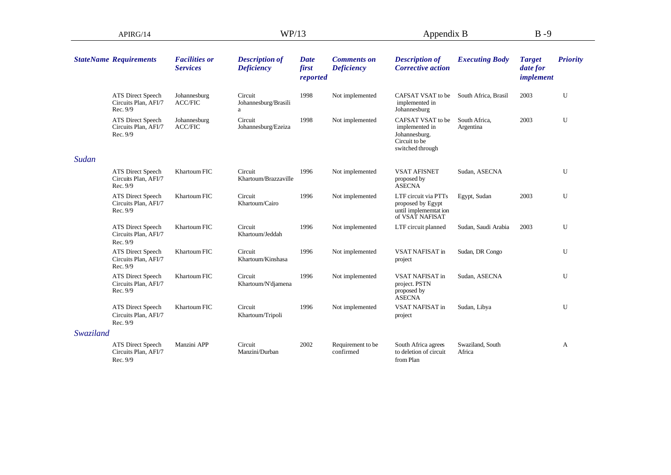| APIRG/14  |                                                              |                                         | WP/13                                      |                                  | Appendix B                              | $B - 9$                                                                                   |                            |                                        |                 |
|-----------|--------------------------------------------------------------|-----------------------------------------|--------------------------------------------|----------------------------------|-----------------------------------------|-------------------------------------------------------------------------------------------|----------------------------|----------------------------------------|-----------------|
|           | <b>StateName Requirements</b>                                | <b>Facilities or</b><br><b>Services</b> | <b>Description of</b><br><b>Deficiency</b> | <b>Date</b><br>first<br>reported | <b>Comments on</b><br><b>Deficiency</b> | <b>Description of</b><br><b>Corrective action</b>                                         | <b>Executing Body</b>      | <b>Target</b><br>date for<br>implement | <b>Priority</b> |
|           | <b>ATS Direct Speech</b><br>Circuits Plan, AFI/7<br>Rec. 9/9 | Johannesburg<br><b>ACC/FIC</b>          | Circuit<br>Johannesburg/Brasili<br>a       | 1998                             | Not implemented                         | CAFSAT VSAT to be<br>implemented in<br>Johannesburg                                       | South Africa, Brasil       | 2003                                   | U               |
|           | ATS Direct Speech<br>Circuits Plan, AFI/7<br>Rec. 9/9        | Johannesburg<br><b>ACC/FIC</b>          | Circuit<br>Johannesburg/Ezeiza             | 1998                             | Not implemented                         | CAFSAT VSAT to be<br>implemented in<br>Johannesburg.<br>Circuit to be<br>switched through | South Africa,<br>Argentina | 2003                                   | U               |
| Sudan     |                                                              |                                         |                                            |                                  |                                         |                                                                                           |                            |                                        |                 |
|           | <b>ATS Direct Speech</b><br>Circuits Plan, AFI/7<br>Rec. 9/9 | <b>Khartoum FIC</b>                     | Circuit<br>Khartoum/Brazzaville            | 1996                             | Not implemented                         | <b>VSAT AFISNET</b><br>proposed by<br><b>ASECNA</b>                                       | Sudan, ASECNA              |                                        | U               |
|           | <b>ATS Direct Speech</b><br>Circuits Plan, AFI/7<br>Rec. 9/9 | Khartoum FIC                            | Circuit<br>Khartoum/Cairo                  | 1996                             | Not implemented                         | LTF circuit via PTTs<br>proposed by Egypt<br>until implememtat ion<br>of VSAT NAFISAT     | Egypt, Sudan               | 2003                                   | U               |
|           | <b>ATS Direct Speech</b><br>Circuits Plan, AFI/7<br>Rec. 9/9 | <b>Khartoum FIC</b>                     | Circuit<br>Khartoum/Jeddah                 | 1996                             | Not implemented                         | LTF circuit planned                                                                       | Sudan, Saudi Arabia        | 2003                                   | U               |
|           | ATS Direct Speech<br>Circuits Plan, AFI/7<br>Rec. 9/9        | <b>Khartoum FIC</b>                     | Circuit<br>Khartoum/Kinshasa               | 1996                             | Not implemented                         | <b>VSAT NAFISAT in</b><br>project                                                         | Sudan, DR Congo            |                                        | U               |
|           | ATS Direct Speech<br>Circuits Plan, AFI/7<br>Rec. 9/9        | <b>Khartoum FIC</b>                     | Circuit<br>Khartoum/N'djamena              | 1996                             | Not implemented                         | <b>VSAT NAFISAT in</b><br>project. PSTN<br>proposed by<br><b>ASECNA</b>                   | Sudan, ASECNA              |                                        | U               |
|           | <b>ATS Direct Speech</b><br>Circuits Plan, AFI/7<br>Rec. 9/9 | Khartoum FIC                            | Circuit<br>Khartoum/Tripoli                | 1996                             | Not implemented                         | VSAT NAFISAT in<br>project                                                                | Sudan, Libya               |                                        | U               |
| Swaziland |                                                              |                                         |                                            |                                  |                                         |                                                                                           |                            |                                        |                 |
|           | <b>ATS Direct Speech</b><br>Circuits Plan, AFI/7<br>Rec. 9/9 | Manzini APP                             | Circuit<br>Manzini/Durban                  | 2002                             | Requirement to be<br>confirmed          | South Africa agrees<br>to deletion of circuit<br>from Plan                                | Swaziland, South<br>Africa |                                        | A               |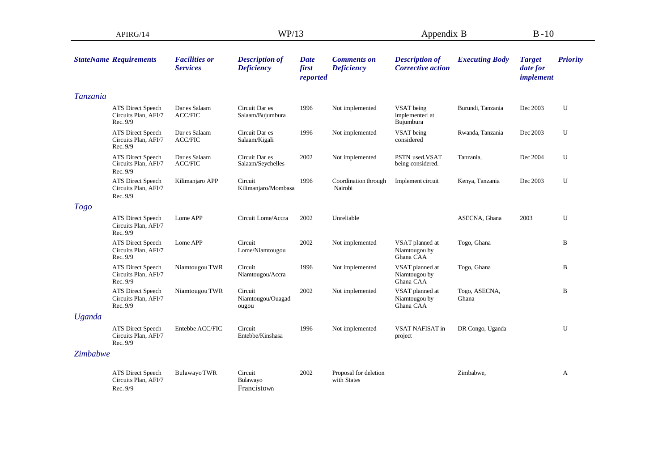| APIRG/14        |                                                              |                                         | WP/13                                      |                                  |                                         | Appendix B                                        |                        | $B-10$                                 |                 |
|-----------------|--------------------------------------------------------------|-----------------------------------------|--------------------------------------------|----------------------------------|-----------------------------------------|---------------------------------------------------|------------------------|----------------------------------------|-----------------|
|                 | <b>StateName Requirements</b>                                | <b>Facilities or</b><br><b>Services</b> | <b>Description of</b><br><b>Deficiency</b> | <b>Date</b><br>first<br>reported | <b>Comments on</b><br><b>Deficiency</b> | <b>Description of</b><br><b>Corrective action</b> | <b>Executing Body</b>  | <b>Target</b><br>date for<br>implement | <b>Priority</b> |
| <b>Tanzania</b> |                                                              |                                         |                                            |                                  |                                         |                                                   |                        |                                        |                 |
|                 | ATS Direct Speech<br>Circuits Plan, AFI/7<br>Rec. 9/9        | Dar es Salaam<br><b>ACC/FIC</b>         | Circuit Dar es<br>Salaam/Bujumbura         | 1996                             | Not implemented                         | VSAT being<br>implemented at<br>Bujumbura         | Burundi, Tanzania      | Dec 2003                               | U               |
|                 | ATS Direct Speech<br>Circuits Plan, AFI/7<br>Rec. 9/9        | Dar es Salaam<br><b>ACC/FIC</b>         | Circuit Dar es<br>Salaam/Kigali            | 1996                             | Not implemented                         | VSAT being<br>considered                          | Rwanda, Tanzania       | Dec 2003                               | U               |
|                 | ATS Direct Speech<br>Circuits Plan, AFI/7<br>Rec. 9/9        | Dar es Salaam<br><b>ACC/FIC</b>         | Circuit Dar es<br>Salaam/Seychelles        | 2002                             | Not implemented                         | PSTN used.VSAT<br>being considered.               | Tanzania,              | Dec 2004                               | U               |
|                 | ATS Direct Speech<br>Circuits Plan, AFI/7<br>Rec. 9/9        | Kilimanjaro APP                         | Circuit<br>Kilimanjaro/Mombasa             | 1996                             | Coordination through<br>Nairobi         | Implement circuit                                 | Kenya, Tanzania        | Dec 2003                               | U               |
| <b>Togo</b>     |                                                              |                                         |                                            |                                  |                                         |                                                   |                        |                                        |                 |
|                 | ATS Direct Speech<br>Circuits Plan, AFI/7<br>Rec. 9/9        | Lome APP                                | Circuit Lome/Accra                         | 2002                             | Unreliable                              |                                                   | ASECNA, Ghana          | 2003                                   | U               |
|                 | ATS Direct Speech<br>Circuits Plan, AFI/7<br>Rec. 9/9        | Lome APP                                | Circuit<br>Lome/Niamtougou                 | 2002                             | Not implemented                         | VSAT planned at<br>Niamtougou by<br>Ghana CAA     | Togo, Ghana            |                                        | B               |
|                 | ATS Direct Speech<br>Circuits Plan, AFI/7<br>Rec. 9/9        | Niamtougou TWR                          | Circuit<br>Niamtougou/Accra                | 1996                             | Not implemented                         | VSAT planned at<br>Niamtougou by<br>Ghana CAA     | Togo, Ghana            |                                        | B               |
|                 | ATS Direct Speech<br>Circuits Plan, AFI/7<br>Rec. 9/9        | Niamtougou TWR                          | Circuit<br>Niamtougou/Ouagad<br>ougou      | 2002                             | Not implemented                         | VSAT planned at<br>Niamtougou by<br>Ghana CAA     | Togo, ASECNA,<br>Ghana |                                        | B               |
| <b>Uganda</b>   |                                                              |                                         |                                            |                                  |                                         |                                                   |                        |                                        |                 |
|                 | ATS Direct Speech<br>Circuits Plan, AFI/7<br>Rec. 9/9        | Entebbe ACC/FIC                         | Circuit<br>Entebbe/Kinshasa                | 1996                             | Not implemented                         | VSAT NAFISAT in<br>project                        | DR Congo, Uganda       |                                        | U               |
| Zimbabwe        |                                                              |                                         |                                            |                                  |                                         |                                                   |                        |                                        |                 |
|                 | <b>ATS Direct Speech</b><br>Circuits Plan, AFI/7<br>Rec. 9/9 | <b>BulawayoTWR</b>                      | Circuit<br>Bulawayo<br>Francistown         | 2002                             | Proposal for deletion<br>with States    |                                                   | Zimbabwe,              |                                        | A               |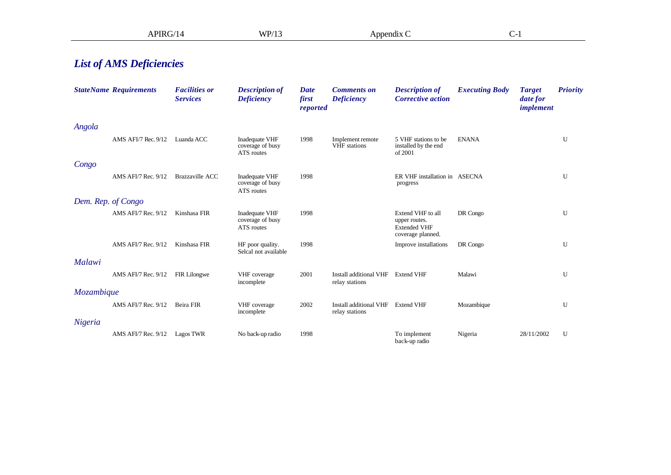|                                 | APIRG/14                         |                                         | WP/13                                            | Appendix C                       |                                                     |                                                                                | $C-1$                 |                                        |                 |
|---------------------------------|----------------------------------|-----------------------------------------|--------------------------------------------------|----------------------------------|-----------------------------------------------------|--------------------------------------------------------------------------------|-----------------------|----------------------------------------|-----------------|
| <b>List of AMS Deficiencies</b> |                                  |                                         |                                                  |                                  |                                                     |                                                                                |                       |                                        |                 |
|                                 | <b>StateName Requirements</b>    | <b>Facilities or</b><br><b>Services</b> | <b>Description of</b><br><b>Deficiency</b>       | <b>Date</b><br>first<br>reported | <b>Comments</b> on<br><b>Deficiency</b>             | <b>Description of</b><br><b>Corrective action</b>                              | <b>Executing Body</b> | <b>Target</b><br>date for<br>implement | <b>Priority</b> |
| Angola                          |                                  |                                         |                                                  |                                  |                                                     |                                                                                |                       |                                        |                 |
|                                 | AMS AFI/7 Rec. 9/12              | Luanda ACC                              | Inadequate VHF<br>coverage of busy<br>ATS routes | 1998                             | Implement remote<br>VHF stations                    | 5 VHF stations to be<br>installed by the end<br>of 2001                        | <b>ENANA</b>          |                                        | U               |
| Congo                           |                                  |                                         |                                                  |                                  |                                                     |                                                                                |                       |                                        |                 |
|                                 | AMS AFI/7 Rec. 9/12              | <b>Brazzaville ACC</b>                  | Inadequate VHF<br>coverage of busy<br>ATS routes | 1998                             |                                                     | ER VHF installation in ASECNA<br>progress                                      |                       |                                        | U               |
| Dem. Rep. of Congo              |                                  |                                         |                                                  |                                  |                                                     |                                                                                |                       |                                        |                 |
|                                 | AMS AFI/7 Rec. 9/12              | Kinshasa FIR                            | Inadequate VHF<br>coverage of busy<br>ATS routes | 1998                             |                                                     | Extend VHF to all<br>upper routes.<br><b>Extended VHF</b><br>coverage planned. | DR Congo              |                                        | $\mathbf U$     |
|                                 | AMS AFI/7 Rec. 9/12              | Kinshasa FIR                            | HF poor quality.<br>Selcal not available         | 1998                             |                                                     | Improve installations                                                          | DR Congo              |                                        | U               |
| Malawi                          |                                  |                                         |                                                  |                                  |                                                     |                                                                                |                       |                                        |                 |
|                                 | AMS AFI/7 Rec. 9/12 FIR Lilongwe |                                         | VHF coverage<br>incomplete                       | 2001                             | Install additional VHF<br>relay stations            | <b>Extend VHF</b>                                                              | Malawi                |                                        | U               |
| Mozambique                      |                                  |                                         |                                                  |                                  |                                                     |                                                                                |                       |                                        |                 |
| Nigeria                         | AMS AFI/7 Rec. 9/12              | Beira FIR                               | VHF coverage<br>incomplete                       | 2002                             | Install additional VHF Extend VHF<br>relay stations |                                                                                | Mozambique            |                                        | U               |
|                                 | AMS AFI/7 Rec. 9/12 Lagos TWR    |                                         | No back-up radio                                 | 1998                             |                                                     | To implement                                                                   | Nigeria               | 28/11/2002                             | U               |
|                                 |                                  |                                         |                                                  |                                  |                                                     | back-up radio                                                                  |                       |                                        |                 |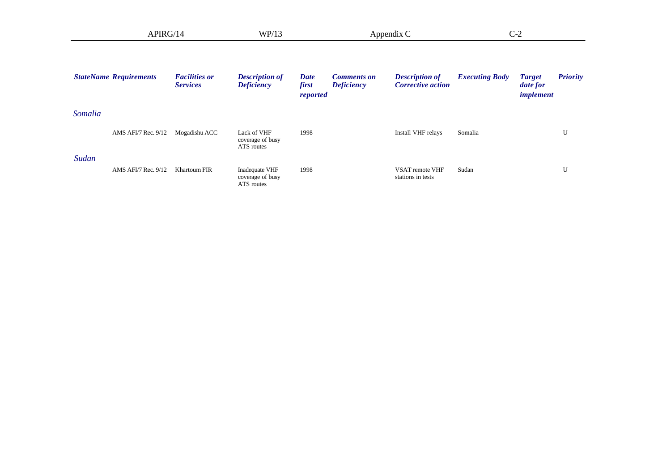|         | APIRG/14                      |                                         | WP/13                                            |                                  | Appendix C                              |                                                   | $C-2$                 |                                        |                 |
|---------|-------------------------------|-----------------------------------------|--------------------------------------------------|----------------------------------|-----------------------------------------|---------------------------------------------------|-----------------------|----------------------------------------|-----------------|
|         | <b>StateName Requirements</b> | <b>Facilities or</b><br><b>Services</b> | <b>Description of</b><br><b>Deficiency</b>       | <b>Date</b><br>first<br>reported | <b>Comments on</b><br><b>Deficiency</b> | <b>Description of</b><br><b>Corrective action</b> | <b>Executing Body</b> | <b>Target</b><br>date for<br>implement | <b>Priority</b> |
| Somalia |                               |                                         |                                                  |                                  |                                         |                                                   |                       |                                        |                 |
|         | AMS AFI/7 Rec. 9/12           | Mogadishu ACC                           | Lack of VHF<br>coverage of busy<br>ATS routes    | 1998                             |                                         | Install VHF relays                                | Somalia               |                                        | U               |
| Sudan   | AMS AFI/7 Rec. 9/12           | <b>Khartoum FIR</b>                     | Inadequate VHF<br>coverage of busy<br>ATS routes | 1998                             |                                         | VSAT remote VHF<br>stations in tests              | Sudan                 |                                        | U               |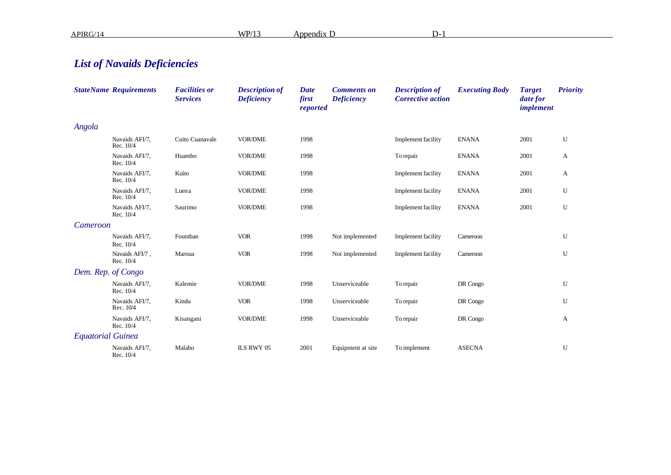APIRG/14 WP/13 Appendix D D-1

## *List of Navaids Deficiencies*

|                          | <b>StateName Requirements</b> | <b>Facilities or</b><br><b>Services</b> | <b>Description of</b><br><b>Deficiency</b> | <b>Date</b><br>first<br>reported | <b>Comments on</b><br><b>Deficiency</b> | <b>Description of</b><br><b>Corrective action</b> | <b>Executing Body</b> | <b>Target</b><br>date for<br>implement | <b>Priority</b> |
|--------------------------|-------------------------------|-----------------------------------------|--------------------------------------------|----------------------------------|-----------------------------------------|---------------------------------------------------|-----------------------|----------------------------------------|-----------------|
| Angola                   |                               |                                         |                                            |                                  |                                         |                                                   |                       |                                        |                 |
|                          | Navaids AFI/7.<br>Rec. 10/4   | Cuito Cuanavale                         | <b>VOR/DME</b>                             | 1998                             |                                         | <b>Implement</b> facility                         | <b>ENANA</b>          | 2001                                   | U               |
|                          | Navaids AFI/7,<br>Rec. 10/4   | Huambo                                  | <b>VOR/DME</b>                             | 1998                             |                                         | To repair                                         | <b>ENANA</b>          | 2001                                   | A               |
|                          | Navaids AFI/7,<br>Rec. 10/4   | Kuito                                   | <b>VOR/DME</b>                             | 1998                             |                                         | Implement facility                                | <b>ENANA</b>          | 2001                                   | A               |
|                          | Navaids AFI/7,<br>Rec. 10/4   | Luena                                   | <b>VOR/DME</b>                             | 1998                             |                                         | Implement facility                                | <b>ENANA</b>          | 2001                                   | U               |
|                          | Navaids AFI/7,<br>Rec. 10/4   | Saurimo                                 | <b>VOR/DME</b>                             | 1998                             |                                         | <b>Implement</b> facility                         | <b>ENANA</b>          | 2001                                   | U               |
| Cameroon                 |                               |                                         |                                            |                                  |                                         |                                                   |                       |                                        |                 |
|                          | Navaids AFI/7.<br>Rec. 10/4   | Foumban                                 | <b>VOR</b>                                 | 1998                             | Not implemented                         | <b>Implement</b> facility                         | Cameroon              |                                        | U               |
|                          | Navaids AFI/7,<br>Rec. 10/4   | Maroua                                  | <b>VOR</b>                                 | 1998                             | Not implemented                         | Implement facility                                | Cameroon              |                                        | U               |
|                          | Dem. Rep. of Congo            |                                         |                                            |                                  |                                         |                                                   |                       |                                        |                 |
|                          | Navaids AFI/7,<br>Rec. 10/4   | Kalemie                                 | VOR/DME                                    | 1998                             | Unserviceable                           | To repair                                         | DR Congo              |                                        | U               |
|                          | Navaids AFI/7,<br>Rec. 10/4   | Kindu                                   | <b>VOR</b>                                 | 1998                             | Unserviceable                           | To repair                                         | DR Congo              |                                        | U               |
|                          | Navaids AFI/7,<br>Rec. 10/4   | Kisangani                               | <b>VOR/DME</b>                             | 1998                             | Unserviceable                           | To repair                                         | DR Congo              |                                        | A               |
| <b>Equatorial Guinea</b> |                               |                                         |                                            |                                  |                                         |                                                   |                       |                                        |                 |
|                          | Navaids AFI/7,<br>Rec. 10/4   | Malabo                                  | ILS RWY 05                                 | 2001                             | Equipment at site                       | To implement                                      | <b>ASECNA</b>         |                                        | U               |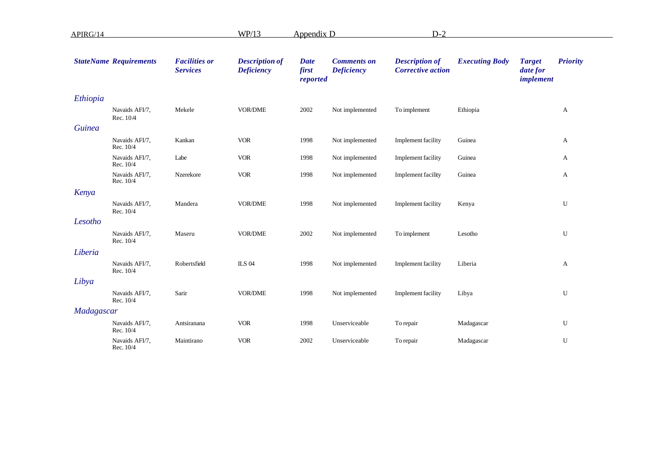| APIRG/14      |                               |                                         | WP/13                                      | <b>Appendix D</b>                |                                         | $D-2$                                             |                       |                                               |                 |
|---------------|-------------------------------|-----------------------------------------|--------------------------------------------|----------------------------------|-----------------------------------------|---------------------------------------------------|-----------------------|-----------------------------------------------|-----------------|
|               | <b>StateName Requirements</b> | <b>Facilities or</b><br><b>Services</b> | <b>Description of</b><br><b>Deficiency</b> | <b>Date</b><br>first<br>reported | <b>Comments on</b><br><b>Deficiency</b> | <b>Description of</b><br><b>Corrective action</b> | <b>Executing Body</b> | <b>Target</b><br>date for<br><i>implement</i> | <b>Priority</b> |
| Ethiopia      |                               |                                         |                                            |                                  |                                         |                                                   |                       |                                               |                 |
|               | Navaids AFI/7,<br>Rec. 10/4   | Mekele                                  | VOR/DME                                    | 2002                             | Not implemented                         | To implement                                      | Ethiopia              |                                               | A               |
| <b>Guinea</b> |                               |                                         |                                            |                                  |                                         |                                                   |                       |                                               |                 |
|               | Navaids AFI/7,<br>Rec. 10/4   | Kankan                                  | <b>VOR</b>                                 | 1998                             | Not implemented                         | Implement facility                                | Guinea                |                                               | A               |
|               | Navaids AFI/7,<br>Rec. 10/4   | Labe                                    | <b>VOR</b>                                 | 1998                             | Not implemented                         | Implement facility                                | Guinea                |                                               | A               |
|               | Navaids AFI/7,<br>Rec. 10/4   | Nzerekore                               | <b>VOR</b>                                 | 1998                             | Not implemented                         | Implement facility                                | Guinea                |                                               | A               |
| Kenya         |                               |                                         |                                            |                                  |                                         |                                                   |                       |                                               |                 |
|               | Navaids AFI/7,<br>Rec. 10/4   | Mandera                                 | VOR/DME                                    | 1998                             | Not implemented                         | <b>Implement</b> facility                         | Kenya                 |                                               | U               |
| Lesotho       |                               |                                         |                                            |                                  |                                         |                                                   |                       |                                               |                 |
|               | Navaids AFI/7,<br>Rec. 10/4   | Maseru                                  | <b>VOR/DME</b>                             | 2002                             | Not implemented                         | To implement                                      | Lesotho               |                                               | U               |
| Liberia       |                               |                                         |                                            |                                  |                                         |                                                   |                       |                                               |                 |
|               | Navaids AFI/7,<br>Rec. 10/4   | Robertsfield                            | <b>ILS 04</b>                              | 1998                             | Not implemented                         | <b>Implement</b> facility                         | Liberia               |                                               | A               |
| Libya         |                               |                                         |                                            |                                  |                                         |                                                   |                       |                                               |                 |
|               | Navaids AFI/7,<br>Rec. 10/4   | Sarir                                   | VOR/DME                                    | 1998                             | Not implemented                         | Implement facility                                | Libya                 |                                               | U               |
| Madagascar    |                               |                                         |                                            |                                  |                                         |                                                   |                       |                                               |                 |
|               | Navaids AFI/7,<br>Rec. 10/4   | Antsiranana                             | <b>VOR</b>                                 | 1998                             | Unserviceable                           | To repair                                         | Madagascar            |                                               | U               |
|               | Navaids AFI/7,<br>Rec. 10/4   | Maintirano                              | <b>VOR</b>                                 | 2002                             | Unserviceable                           | To repair                                         | Madagascar            |                                               | U               |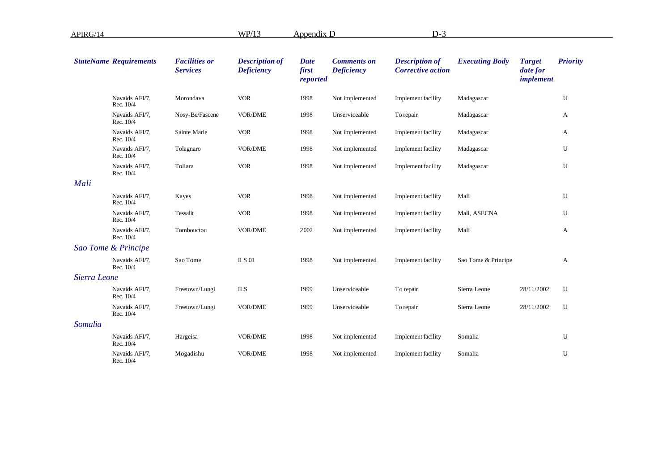| APIRG/14     |                               |                                         | WP/13                                      | Appendix D                       |                                         | $D-3$                                             |                       |                                               |                 |
|--------------|-------------------------------|-----------------------------------------|--------------------------------------------|----------------------------------|-----------------------------------------|---------------------------------------------------|-----------------------|-----------------------------------------------|-----------------|
|              | <b>StateName Requirements</b> | <b>Facilities or</b><br><b>Services</b> | <b>Description of</b><br><b>Deficiency</b> | <b>Date</b><br>first<br>reported | <b>Comments on</b><br><b>Deficiency</b> | <b>Description of</b><br><b>Corrective action</b> | <b>Executing Body</b> | <b>Target</b><br>date for<br><i>implement</i> | <b>Priority</b> |
|              | Navaids AFI/7,<br>Rec. 10/4   | Morondava                               | <b>VOR</b>                                 | 1998                             | Not implemented                         | <b>Implement</b> facility                         | Madagascar            |                                               | U               |
|              | Navaids AFI/7,<br>Rec. 10/4   | Nosy-Be/Fascene                         | VOR/DME                                    | 1998                             | Unserviceable                           | To repair                                         | Madagascar            |                                               | A               |
|              | Navaids AFI/7,<br>Rec. 10/4   | Sainte Marie                            | <b>VOR</b>                                 | 1998                             | Not implemented                         | Implement facility                                | Madagascar            |                                               | A               |
|              | Navaids AFI/7,<br>Rec. 10/4   | Tolagnaro                               | <b>VOR/DME</b>                             | 1998                             | Not implemented                         | Implement facility                                | Madagascar            |                                               | U               |
|              | Navaids AFI/7,<br>Rec. 10/4   | Toliara                                 | <b>VOR</b>                                 | 1998                             | Not implemented                         | <b>Implement</b> facility                         | Madagascar            |                                               | U               |
| Mali         |                               |                                         |                                            |                                  |                                         |                                                   |                       |                                               |                 |
|              | Navaids AFI/7,<br>Rec. 10/4   | Kayes                                   | <b>VOR</b>                                 | 1998                             | Not implemented                         | <b>Implement</b> facility                         | Mali                  |                                               | U               |
|              | Navaids AFI/7,<br>Rec. 10/4   | Tessalit                                | <b>VOR</b>                                 | 1998                             | Not implemented                         | Implement facility                                | Mali, ASECNA          |                                               | U               |
|              | Navaids AFI/7,<br>Rec. 10/4   | Tombouctou                              | <b>VOR/DME</b>                             | 2002                             | Not implemented                         | <b>Implement</b> facility                         | Mali                  |                                               | A               |
|              | Sao Tome & Principe           |                                         |                                            |                                  |                                         |                                                   |                       |                                               |                 |
|              | Navaids AFI/7,<br>Rec. 10/4   | Sao Tome                                | <b>ILS 01</b>                              | 1998                             | Not implemented                         | Implement facility                                | Sao Tome & Principe   |                                               | A               |
| Sierra Leone |                               |                                         |                                            |                                  |                                         |                                                   |                       |                                               |                 |
|              | Navaids AFI/7,<br>Rec. 10/4   | Freetown/Lungi                          | <b>ILS</b>                                 | 1999                             | Unserviceable                           | To repair                                         | Sierra Leone          | 28/11/2002                                    | U               |
|              | Navaids AFI/7,<br>Rec. 10/4   | Freetown/Lungi                          | <b>VOR/DME</b>                             | 1999                             | Unserviceable                           | To repair                                         | Sierra Leone          | 28/11/2002                                    | U               |
| Somalia      |                               |                                         |                                            |                                  |                                         |                                                   |                       |                                               |                 |
|              | Navaids AFI/7,<br>Rec. 10/4   | Hargeisa                                | <b>VOR/DME</b>                             | 1998                             | Not implemented                         | Implement facility                                | Somalia               |                                               | U               |
|              | Navaids AFI/7,<br>Rec. 10/4   | Mogadishu                               | <b>VOR/DME</b>                             | 1998                             | Not implemented                         | <b>Implement</b> facility                         | Somalia               |                                               | U               |